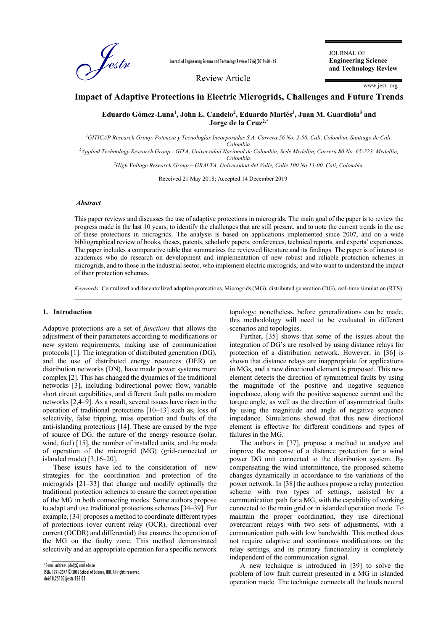

Journal of Engineering Science and Technology Review 12 (6) (2019) 60 - 69

Review Article

JOURNAL OF **Engineering Science and Technology Review**

www.jestr.org

# **Impact of Adaptive Protections in Electric Microgrids, Challenges and Future Trends**<br> *Eduardo Gómez-Luna<sup>1</sup>, John E. Candelo<sup>2</sup>, Eduardo Marlés<sup>3</sup>, Juan M. Guardiola<sup>3</sup> and* **Eduardo Gómez-Luna1 , John E. Candelo2 , Eduardo Marlés3 , Juan M. Guardiola3 and Jorge de la Cruz2,\***

*1 GITICAP Research Group. Potencia y Tecnologías Incorporadas S.A. Carrera 56 No. 2-50, Cali, Colombia. Santiago de Cali, Colombia. 2 Applied Technology Research Group - GITA, Universidad Nacional de Colombia, Sede Medellín, Carrera 80 No. 65-223, Medellín, Colombia. 3 High Voltage Research Group – GRALTA, Universidad del Valle, Calle 100 No 13-00, Cali, Colombia.* 

 $\_$  ,  $\_$  ,  $\_$  ,  $\_$  ,  $\_$  ,  $\_$  ,  $\_$  ,  $\_$  ,  $\_$  ,  $\_$  ,  $\_$  ,  $\_$  ,  $\_$  ,  $\_$  ,  $\_$  ,  $\_$  ,  $\_$  ,  $\_$  ,  $\_$  ,  $\_$  ,  $\_$  ,  $\_$  ,  $\_$  ,  $\_$  ,  $\_$  ,  $\_$  ,  $\_$  ,  $\_$  ,  $\_$  ,  $\_$  ,  $\_$  ,  $\_$  ,  $\_$  ,  $\_$  ,  $\_$  ,  $\_$  ,  $\_$  ,

Received 21 May 2018; Accepted 14 December 2019

#### *Abstract*

This paper reviews and discusses the use of adaptive protections in microgrids. The main goal of the paper is to review the progress made in the last 10 years, to identify the challenges that are still present, and to note the current trends in the use of these protections in microgrids. The analysis is based on applications implemented since 2007, and on a wide bibliographical review of books, theses, patents, scholarly papers, conferences, technical reports, and experts' experiences. The paper includes a comparative table that summarizes the reviewed literature and its findings. The paper is of interest to academics who do research on development and implementation of new robust and reliable protection schemes in microgrids, and to those in the industrial sector, who implement electric microgrids, and who want to understand the impact of their protection schemes.

*Keywords:* Centralized and decentralized adaptive protections, Microgrids (MG), distributed generation (DG), real-time simulation (RTS).  $\_$  ,  $\_$  ,  $\_$  ,  $\_$  ,  $\_$  ,  $\_$  ,  $\_$  ,  $\_$  ,  $\_$  ,  $\_$  ,  $\_$  ,  $\_$  ,  $\_$  ,  $\_$  ,  $\_$  ,  $\_$  ,  $\_$  ,  $\_$  ,  $\_$  ,  $\_$  ,  $\_$  ,  $\_$  ,  $\_$  ,  $\_$  ,  $\_$  ,  $\_$  ,  $\_$  ,  $\_$  ,  $\_$  ,  $\_$  ,  $\_$  ,  $\_$  ,  $\_$  ,  $\_$  ,  $\_$  ,  $\_$  ,  $\_$  ,

#### **1. Introduction**

Adaptive protections are a set of *functions* that allows the adjustment of their parameters according to modifications or new system requirements, making use of communication protocols [1]. The integration of distributed generation (DG), and the use of distributed energy resources (DER) on distribution networks (DN), have made power systems more complex [2]. This has changed the dynamics of the traditional networks [3], including bidirectional power flow, variable short circuit capabilities, and different fault paths on modern networks [2,4–9]. As a result, several issues have risen in the operation of traditional protections [10–13] such as, loss of selectivity, false tripping, miss operation and faults of the anti-islanding protections [14]. These are caused by the type of source of DG, the nature of the energy resource (solar, wind, fuel) [15], the number of installed units, and the mode of operation of the microgrid (MG) (grid-connected or islanded mode) [3,16–20].

These issues have led to the consideration of new strategies for the coordination and protection of the microgrids [21–33] that change and modify optimally the traditional protection schemes to ensure the correct operation of the MG in both connecting modes. Some authors propose to adapt and use traditional protections schemes [34–39]. For example, [34] proposes a method to coordinate different types of protections (over current relay (OCR), directional over current (OCDR) and differential) that ensures the operation of the MG on the faulty zone. This method demonstrated selectivity and an appropriate operation for a specific network

 $\overline{\phantom{a}}$ \*E-mail address: jdel@unal.edu.co ISSN: 1791-2377 © 2019 School of Science, IHU. All rights reserved. doi:10.25103/jestr.126.08

topology; nonetheless, before generalizations can be made, this methodology will need to be evaluated in different scenarios and topologies.

Further, [35] shows that some of the issues about the integration of DG's are resolved by using distance relays for protection of a distribution network. However, in [36] is shown that distance relays are inappropriate for applications in MGs, and a new directional element is proposed. This new element detects the direction of symmetrical faults by using the magnitude of the positive and negative sequence impedance, along with the positive sequence current and the torque angle, as well as the direction of asymmetrical faults by using the magnitude and angle of negative sequence impedance. Simulations showed that this new directional element is effective for different conditions and types of failures in the MG.

The authors in [37], propose a method to analyze and improve the response of a distance protection for a wind power DG unit connected to the distribution system. By compensating the wind intermittence, the proposed scheme changes dynamically in accordance to the variations of the power network. In [38] the authors propose a relay protection scheme with two types of settings, assisted by a communication path for a MG, with the capability of working connected to the main grid or in islanded operation mode. To maintain the proper coordination, they use directional overcurrent relays with two sets of adjustments, with a communication path with low bandwidth. This method does not require adaptive and continuous modifications on the relay settings, and its primary functionality is completely independent of the communication signal.

A new technique is introduced in [39] to solve the problem of low fault current presented in a MG in islanded operation mode. The technique connects all the loads neutral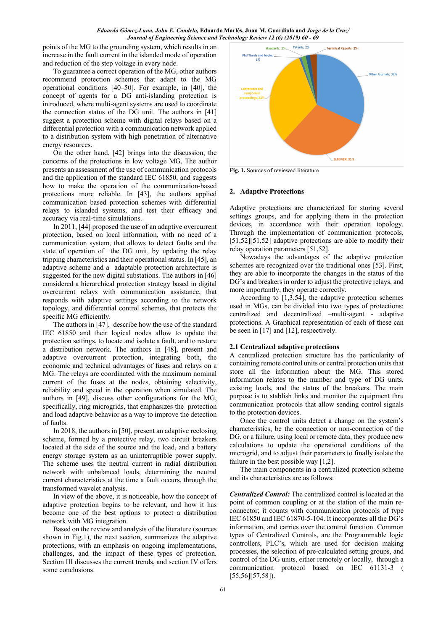points of the MG to the grounding system, which results in an increase in the fault current in the islanded mode of operation and reduction of the step voltage in every node.

To guarantee a correct operation of the MG, other authors recommend protection schemes that adapt to the MG operational conditions [40–50]. For example, in [40], the concept of agents for a DG anti-islanding protection is introduced, where multi-agent systems are used to coordinate the connection status of the DG unit. The authors in [41] suggest a protection scheme with digital relays based on a differential protection with a communication network applied to a distribution system with high penetration of alternative energy resources.

On the other hand, [42] brings into the discussion, the concerns of the protections in low voltage MG. The author presents an assessment of the use of communication protocols and the application of the standard IEC 61850, and suggests how to make the operation of the communication-based protections more reliable. In [43], the authors applied communication based protection schemes with differential relays to islanded systems, and test their efficacy and accuracy via real-time simulations.

In 2011, [44] proposed the use of an adaptive overcurrent protection, based on local information, with no need of a communication system, that allows to detect faults and the state of operation of the DG unit, by updating the relay tripping characteristics and their operational status. In [45], an adaptive scheme and a adaptable protection architecture is suggested for the new digital substations. The authors in [46] considered a hierarchical protection strategy based in digital overcurrent relays with communication assistance, that responds with adaptive settings according to the network topology, and differential control schemes, that protects the specific MG efficiently.

The authors in [47], describe how the use of the standard IEC 61850 and their logical nodes allow to update the protection settings, to locate and isolate a fault, and to restore a distribution network. The authors in [48], present and adaptive overcurrent protection, integrating both, the economic and technical advantages of fuses and relays on a MG. The relays are coordinated with the maximum nominal current of the fuses at the nodes, obtaining selectivity, reliability and speed in the operation when simulated. The authors in [49], discuss other configurations for the MG, specifically, ring microgrids, that emphasizes the protection and load adaptive behavior as a way to improve the detection of faults.

In 2018, the authors in [50], present an adaptive reclosing scheme, formed by a protective relay, two circuit breakers located at the side of the source and the load, and a battery energy storage system as an uninterruptible power supply. The scheme uses the neutral current in radial distribution network with unbalanced loads, determining the neutral current characteristics at the time a fault occurs, through the transformed wavelet analysis.

In view of the above, it is noticeable, how the concept of adaptive protection begins to be relevant, and how it has become one of the best options to protect a distribution network with MG integration.

Based on the review and analysis of the literature (sources shown in Fig.1), the next section, summarizes the adaptive protections, with an emphasis on ongoing implementations, challenges, and the impact of these types of protection. Section III discusses the current trends, and section IV offers some conclusions.



**Fig. 1.** Sources of reviewed literature

# **2. Adaptive Protections**

Adaptive protections are characterized for storing several settings groups, and for applying them in the protection devices, in accordance with their operation topology. Through the implementation of communication protocols, [51,52][51,52] adaptive protections are able to modify their relay operation parameters [51,52].

Nowadays the advantages of the adaptive protection schemes are recognized over the traditional ones [53]. First, they are able to incorporate the changes in the status of the DG's and breakers in order to adjust the protective relays, and more importantly, they operate correctly.

According to [1,3,54], the adaptive protection schemes used in MGs, can be divided into two types of protections: centralized and decentralized –multi-agent - adaptive protections. A Graphical representation of each of these can be seen in [17] and [12], respectively.

# **2.1 Centralized adaptive protections**

A centralized protection structure has the particularity of containing remote control units or central protection units that store all the information about the MG. This stored information relates to the number and type of DG units, existing loads, and the status of the breakers. The main purpose is to stablish links and monitor the equipment thru communication protocols that allow sending control signals to the protection devices.

Once the control units detect a change on the system's characteristics, be the connection or non-connection of the DG, or a failure, using local or remote data, they produce new calculations to update the operational conditions of the microgrid, and to adjust their parameters to finally isolate the failure in the best possible way [1,2].

The main components in a centralized protection scheme and its characteristics are as follows:

*Centralized Control:* The centralized control is located at the point of common coupling or at the station of the main reconnector; it counts with communication protocols of type IEC 61850 and IEC 61870-5-104. It incorporates all the DG's information, and carries over the control function. Common types of Centralized Controls, are the Programmable logic controllers, PLC's, which are used for decision making processes, the selection of pre-calculated setting groups, and control of the DG units, either remotely or locally, through a communication protocol based on IEC 61131-3 ( [55,56][57,58]).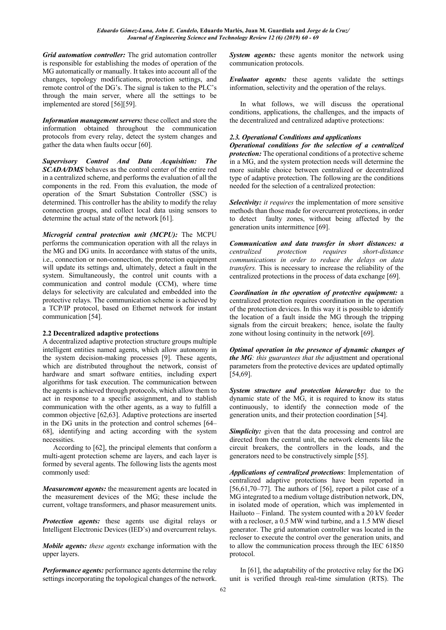*Grid automation controller:* The grid automation controller is responsible for establishing the modes of operation of the MG automatically or manually. It takes into account all of the changes, topology modifications, protection settings, and remote control of the DG's. The signal is taken to the PLC's through the main server, where all the settings to be implemented are stored [56][59].

*Information management servers:* these collect and store the information obtained throughout the communication protocols from every relay, detect the system changes and gather the data when faults occur [60].

*Supervisory Control And Data Acquisition: The SCADA/DMS* behaves as the control center of the entire red in a centralized scheme, and performs the evaluation of all the components in the red. From this evaluation, the mode of operation of the Smart Substation Controller (SSC) is determined. This controller has the ability to modify the relay connection groups, and collect local data using sensors to determine the actual state of the network [61].

*Microgrid central protection unit (MCPU):* The MCPU performs the communication operation with all the relays in the MG and DG units. In accordance with status of the units, i.e., connection or non-connection, the protection equipment will update its settings and, ultimately, detect a fault in the system. Simultaneously, the control unit counts with a communication and control module (CCM), where time delays for selectivity are calculated and embedded into the protective relays. The communication scheme is achieved by a TCP/IP protocol, based on Ethernet network for instant communication [54].

# **2.2 Decentralized adaptive protections**

A decentralized adaptive protection structure groups multiple intelligent entities named agents, which allow autonomy in the system decision-making processes [9]. These agents, which are distributed throughout the network, consist of hardware and smart software entities, including expert algorithms for task execution. The communication between the agents is achieved through protocols, which allow them to act in response to a specific assignment, and to stablish communication with the other agents, as a way to fulfill a common objective [62,63]. Adaptive protections are inserted in the DG units in the protection and control schemes [64– 68], identifying and acting according with the system necessities.

According to [62], the principal elements that conform a multi-agent protection scheme are layers, and each layer is formed by several agents. The following lists the agents most commonly used:

*Measurement agents:* the measurement agents are located in the measurement devices of the MG; these include the current, voltage transformers, and phasor measurement units.

*Protection agents:* these agents use digital relays or Intelligent Electronic Devices (IED's) and overcurrent relays.

*Mobile agents: these agents* exchange information with the upper layers.

*Performance agents:* performance agents determine the relay settings incorporating the topological changes of the network. *System agents:* these agents monitor the network using communication protocols.

*Evaluator agents:* these agents validate the settings information, selectivity and the operation of the relays.

In what follows, we will discuss the operational conditions, applications, the challenges, and the impacts of the decentralized and centralized adaptive protections:

# *2.3. Operational Conditions and applications*

*Operational conditions for the selection of a centralized protection:* The operational conditions of a protective scheme in a MG, and the system protection needs will determine the more suitable choice between centralized or decentralized type of adaptive protection. The following are the conditions needed for the selection of a centralized protection:

*Selectivity: it requires* the implementation of more sensitive methods than those made for overcurrent protections, in order to detect faulty zones, without being affected by the generation units intermittence [69].

*Communication and data transfer in short distances: a centralized protection requires short-distance communications in order to reduce the delays on data transfers.* This is necessary to increase the reliability of the centralized protections in the process of data exchange [69].

*Coordination in the operation of protective equipment:* a centralized protection requires coordination in the operation of the protection devices. In this way it is possible to identify the location of a fault inside the MG through the tripping signals from the circuit breakers; hence, isolate the faulty zone without losing continuity in the network [69].

*Optimal operation in the presence of dynamic changes of the MG: this guarantees that the* adjustment and operational parameters from the protective devices are updated optimally [54,69].

*System structure and protection hierarchy:* due to the dynamic state of the MG, it is required to know its status continuously, to identify the connection mode of the generation units, and their protection coordination [54].

**Simplicity:** given that the data processing and control are directed from the central unit, the network elements like the circuit breakers, the controllers in the loads, and the generators need to be constructively simple [55].

*Applications of centralized protections*: Implementation of centralized adaptive protections have been reported in [56,61,70–77]. The authors of [56], report a pilot case of a MG integrated to a medium voltage distribution network, DN, in isolated mode of operation, which was implemented in Hailuoto – Finland. The system counted with a 20 kV feeder with a recloser, a 0.5 MW wind turbine, and a 1.5 MW diesel generator. The grid automation controller was located in the recloser to execute the control over the generation units, and to allow the communication process through the IEC 61850 protocol.

In [61], the adaptability of the protective relay for the DG unit is verified through real-time simulation (RTS). The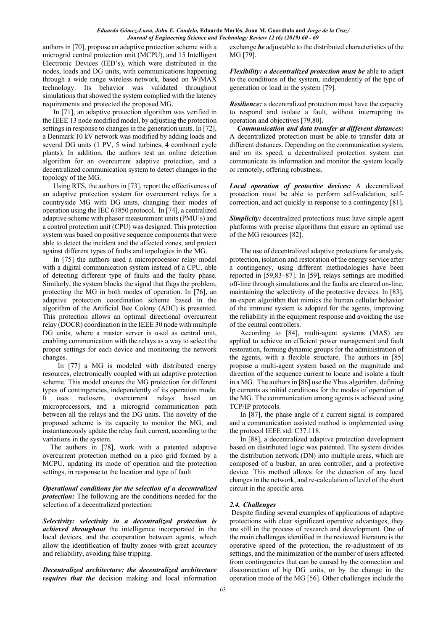authors in [70], propose an adaptive protection scheme with a microgrid central protection unit (MCPU), and 15 Intelligent Electronic Devices (IED's), which were distributed in the nodes, loads and DG units, with communications happening through a wide range wireless network, based on WiMAX technology. Its behavior was validated throughout simulations that showed the system complied with the latency requirements and protected the proposed MG.

In [71], an adaptive protection algorithm was verified in the IEEE 13 node modified model, by adjusting the protection settings in response to changes in the generation units. In [72], a Denmark 10 kV network was modified by adding loads and several DG units (1 PV, 5 wind turbines, 4 combined cycle plants). In addition, the authors test an online detection algorithm for an overcurrent adaptive protection, and a decentralized communication system to detect changes in the topology of the MG.

Using RTS, the authors in [73], report the effectiveness of an adaptive protection system for overcurrent relays for a countryside MG with DG units, changing their modes of operation using the IEC 61850 protocol. In [74], a centralized adaptive scheme with phasor measurement units (PMU's) and a control protection unit (CPU) was designed. This protection system was based on positive sequence components that were able to detect the incident and the affected zones, and protect against different types of faults and topologies in the MG.

In [75] the authors used a microprocessor relay model with a digital communication system instead of a CPU, able of detecting different type of faults and the faulty phase. Similarly, the system blocks the signal that flags the problem, protecting the MG in both modes of operation. In [76], an adaptive protection coordination scheme based in the algorithm of the Artificial Bee Colony (ABC) is presented. This protection allows an optimal directional overcurrent relay (DOCR) coordination in the IEEE 30 node with multiple DG units, where a master server is used as central unit, enabling communication with the relays as a way to select the proper settings for each device and monitoring the network changes.

In [77] a MG is modeled with distributed energy resources, electronically coupled with an adaptive protection scheme. This model ensures the MG protection for different types of contingencies, independently of its operation mode. It uses reclosers, overcurrent relays based on microprocessors, and a microgrid communication path between all the relays and the DG units. The novelty of the proposed scheme is its capacity to monitor the MG, and instantaneously update the relay fault current, according to the variations in the system.

The authors in [78], work with a patented adaptive overcurrent protection method on a pico grid formed by a MCPU, updating its mode of operation and the protection settings, in response to the location and type of fault

*Operational conditions for the selection of a decentralized protection:* The following are the conditions needed for the selection of a decentralized protection:

*Selectivity: selectivity in a decentralized protection is achieved throughout* the intelligence incorporated in the local devices, and the cooperation between agents, which allow the identification of faulty zones with great accuracy and reliability, avoiding false tripping.

*Decentralized architecture: the decentralized architecture requires that the* decision making and local information

exchange *be* adjustable to the distributed characteristics of the MG [79].

*Flexibility: a decentralized protection must be* able to adapt to the conditions of the system, independently of the type of generation or load in the system [79].

*Resilience:* a decentralized protection must have the capacity to respond and isolate a fault, without interrupting its operation and objectives [79,80].

*Communication and data transfer at different distances:*  A decentralized protection must be able to transfer data at different distances. Depending on the communication system, and on its speed, a decentralized protection system can communicate its information and monitor the system locally or remotely, offering robustness.

*Local operation of protective devices:* A decentralized protection must be able to perform self-validation, selfcorrection, and act quickly in response to a contingency [81].

*Simplicity:* decentralized protections must have simple agent platforms with precise algorithms that ensure an optimal use of the MG resources [82].

The use of decentralized adaptive protections for analysis, protection, isolation and restoration of the energy service after a contingency, using different methodologies have been reported in [59,83–87]. In [59], relays settings are modified off-line through simulations and the faults are cleared on-line, maintaining the selectivity of the protective devices. In [83], an expert algorithm that mimics the human cellular behavior of the immune system is adopted for the agents, improving the reliability in the equipment response and avoiding the use of the central controllers.

According to [84], multi-agent systems (MAS) are applied to achieve an efficient power management and fault restoration, forming dynamic groups for the administration of the agents, with a flexible structure. The authors in [85] propose a multi-agent system based on the magnitude and direction of the sequence current to locate and isolate a fault in a MG. The authors in [86] use the Ybus algorithm, defining Ip currents as initial conditions for the modes of operation of the MG. The communication among agents is achieved using TCP/IP protocols.

In [87], the phase angle of a current signal is compared and a communication assisted method is implemented using the protocol IEEE std. C37.118.

In [88], a decentralized adaptive protection development based on distributed logic was patented. The system divides the distribution network (DN) into multiple areas, which are composed of a busbar, an area controller, and a protective device. This method allows for the detection of any local changes in the network, and re-calculation of level of the short circuit in the specific area.

# *2.4. Challenges*

Despite finding several examples of applications of adaptive protections with clear significant operative advantages, they are still in the process of research and development. One of the main challenges identified in the reviewed literature is the operative speed of the protection, the re-adjustment of its settings, and the minimization of the number of users affected from contingencies that can be caused by the connection and disconnection of big DG units, or by the change in the operation mode of the MG [56]. Other challenges include the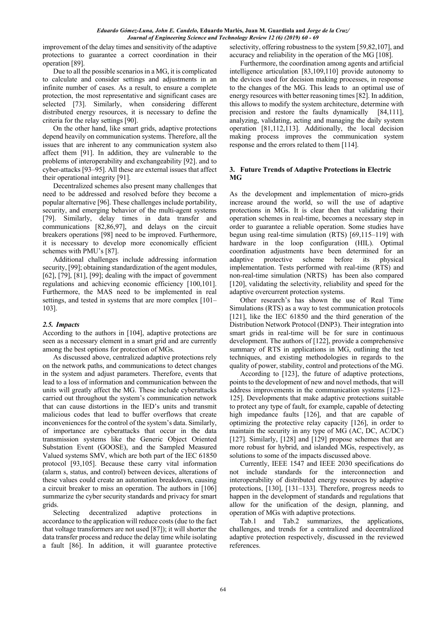improvement of the delay times and sensitivity of the adaptive protections to guarantee a correct coordination in their operation [89].

Due to all the possible scenarios in a MG, it is complicated to calculate and consider settings and adjustments in an infinite number of cases. As a result, to ensure a complete protection, the most representative and significant cases are selected [73]. Similarly, when considering different distributed energy resources, it is necessary to define the criteria for the relay settings [90].

On the other hand, like smart grids, adaptive protections depend heavily on communication systems. Therefore, all the issues that are inherent to any communication system also affect them [91]. In addition, they are vulnerable to the problems of interoperability and exchangeability [92]. and to cyber-attacks [93–95]. All these are external issues that affect their operational integrity [91].

Decentralized schemes also present many challenges that need to be addressed and resolved before they become a popular alternative [96]. These challenges include portability, security, and emerging behavior of the multi-agent systems [79]. Similarly, delay times in data transfer and communications [82,86,97], and delays on the circuit breakers operations [98] need to be improved. Furthermore, it is necessary to develop more economically efficient schemes with PMU's [87].

Additional challenges include addressing information security, [99]; obtaining standardization of the agent modules, [62], [79], [81], [99]; dealing with the impact of government regulations and achieving economic efficiency [100,101]. Furthermore, the MAS need to be implemented in real settings, and tested in systems that are more complex [101– 103].

# *2.5. Impacts*

According to the authors in [104], adaptive protections are seen as a necessary element in a smart grid and are currently among the best options for protection of MGs.

As discussed above, centralized adaptive protections rely on the network paths, and communications to detect changes in the system and adjust parameters. Therefore, events that lead to a loss of information and communication between the units will greatly affect the MG. These include cyberattacks carried out throughout the system's communication network that can cause distortions in the IED's units and transmit malicious codes that lead to buffer overflows that create inconveniences for the control of the system's data. Similarly, of importance are cyberattacks that occur in the data transmission systems like the Generic Object Oriented Substation Event (GOOSE), and the Sampled Measured Valued systems SMV, which are both part of the IEC 61850 protocol [93,105]. Because these carry vital information (alarm s, status, and control) between devices, alterations of these values could create an automation breakdown, causing a circuit breaker to miss an operation. The authors in [106] summarize the cyber security standards and privacy for smart grids.

Selecting decentralized adaptive protections in accordance to the application will reduce costs (due to the fact that voltage transformers are not used [87]); it will shorter the data transfer process and reduce the delay time while isolating a fault [86]. In addition, it will guarantee protective

selectivity, offering robustness to the system [59,82,107], and accuracy and reliability in the operation of the MG [108].

Furthermore, the coordination among agents and artificial intelligence articulation [83,109,110] provide autonomy to the devices used for decision making processes, in response to the changes of the MG. This leads to an optimal use of energy resources with better reasoning times [82]. In addition, this allows to modify the system architecture, determine with precision and restore the faults dynamically [84,111], analyzing, validating, acting and managing the daily system operation [81,112,113]. Additionally, the local decision making process improves the communication system response and the errors related to them [114].

# **3. Future Trends of Adaptive Protections in Electric MG**

As the development and implementation of micro-grids increase around the world, so will the use of adaptive protections in MGs. It is clear then that validating their operation schemes in real-time, becomes a necessary step in order to guarantee a reliable operation. Some studies have begun using real-time simulation (RTS) [69,115–119] with hardware in the loop configuration (HIL). Optimal coordination adjustments have been determined for an adaptive protective scheme before its physical implementation. Tests performed with real-time (RTS) and non-real-time simulation (NRTS) has been also compared [120], validating the selectivity, reliability and speed for the adaptive overcurrent protection systems.

Other research's has shown the use of Real Time Simulations (RTS) as a way to test communication protocols [121], like the IEC 61850 and the third generation of the Distribution Network Protocol (DNP3). Their integration into smart grids in real-time will be for sure in continuous development. The authors of [122], provide a comprehensive summary of RTS in applications in MG, outlining the test techniques, and existing methodologies in regards to the quality of power, stability, control and protections of the MG.

According to [123], the future of adaptive protections, points to the development of new and novel methods, that will address improvements in the communication systems [123– 125]. Developments that make adaptive protections suitable to protect any type of fault, for example, capable of detecting high impedance faults [126], and that are capable of optimizing the protective relay capacity [126], in order to maintain the security in any type of MG (AC, DC, AC/DC) [127]. Similarly, [128] and [129] propose schemes that are more robust for hybrid, and islanded MGs, respectively, as solutions to some of the impacts discussed above.

Currently, IEEE 1547 and IEEE 2030 specifications do not include standards for the interconnection and interoperability of distributed energy resources by adaptive protections, [130], [131–133]. Therefore, progress needs to happen in the development of standards and regulations that allow for the unification of the design, planning, and operation of MGs with adaptive protections.

Tab.1 and Tab.2 summarizes, the applications, challenges, and trends for a centralized and decentralized adaptive protection respectively, discussed in the reviewed references.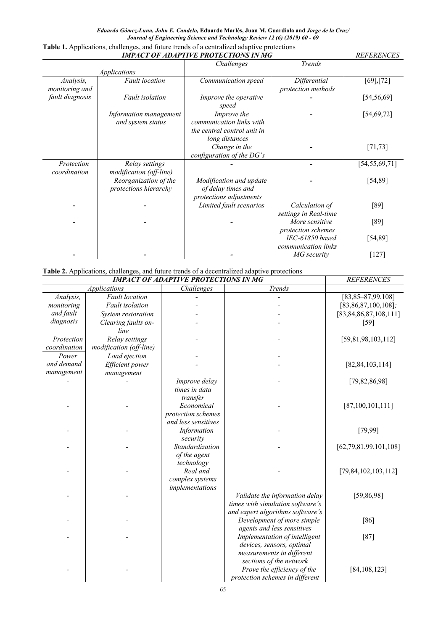|                     | <b>REFERENCES</b>       |                              |                       |                  |
|---------------------|-------------------------|------------------------------|-----------------------|------------------|
|                     |                         | Challenges                   | <b>Trends</b>         |                  |
| <b>Applications</b> |                         |                              |                       |                  |
| Analysis,           | <b>Fault</b> location   | Communication speed          | Differential          | [69],[72]        |
| monitoring and      |                         |                              | protection methods    |                  |
| fault diagnosis     | <b>Fault</b> isolation  | <i>Improve the operative</i> |                       | [54, 56, 69]     |
|                     |                         | speed                        |                       |                  |
|                     | Information management  | Improve the                  |                       | [54, 69, 72]     |
|                     | and system status       | communication links with     |                       |                  |
|                     |                         | the central control unit in  |                       |                  |
|                     |                         | long distances               |                       |                  |
|                     |                         | Change in the                |                       | [71, 73]         |
|                     |                         | configuration of the DG's    |                       |                  |
| Protection          | Relay settings          |                              |                       | [54, 55, 69, 71] |
| coordination        | modification (off-line) |                              |                       |                  |
|                     | Reorganization of the   | Modification and update      |                       | [54, 89]         |
|                     | protections hierarchy   | of delay times and           |                       |                  |
|                     |                         | protections adjustments      |                       |                  |
|                     |                         | Limited fault scenarios      | Calculation of        | [89]             |
|                     |                         |                              | settings in Real-time |                  |
|                     |                         |                              | More sensitive        | [89]             |
|                     |                         |                              | protection schemes    |                  |
|                     |                         |                              | IEC-61850 based       | [54, 89]         |
|                     |                         |                              | communication links   |                  |
|                     |                         |                              | MG security           | $[127]$          |

# **Table 1.** Applications, challenges, and future trends of a centralized adaptive protections

# **Table 2.** Applications, challenges, and future trends of a decentralized adaptive protections

| <b>Table 2.</b> Applications, challenges, and future trends of a decentralized adaptive protections<br><b>IMPACT OF ADAPTIVE PROTECTIONS IN MG</b> |                         |                     |                                  |                            |  |  |  |  |
|----------------------------------------------------------------------------------------------------------------------------------------------------|-------------------------|---------------------|----------------------------------|----------------------------|--|--|--|--|
|                                                                                                                                                    | <b>REFERENCES</b>       |                     |                                  |                            |  |  |  |  |
| <b>Applications</b>                                                                                                                                |                         | Challenges          | <b>Trends</b>                    |                            |  |  |  |  |
| Analysis,                                                                                                                                          | <b>Fault</b> location   |                     |                                  | $[83,85-87,99,108]$        |  |  |  |  |
| monitoring                                                                                                                                         | <b>Fault</b> isolation  |                     |                                  | $[83,86,87,100,108]$ ;     |  |  |  |  |
| and fault                                                                                                                                          | System restoration      |                     |                                  | [83, 84, 86, 87, 108, 111] |  |  |  |  |
| diagnosis                                                                                                                                          | Clearing faults on-     |                     |                                  | [59]                       |  |  |  |  |
|                                                                                                                                                    | line                    |                     |                                  |                            |  |  |  |  |
| Protection                                                                                                                                         | Relay settings          |                     |                                  | [59,81,98,103,112]         |  |  |  |  |
| coordination                                                                                                                                       | modification (off-line) |                     |                                  |                            |  |  |  |  |
| Power                                                                                                                                              | Load ejection           |                     |                                  |                            |  |  |  |  |
| and demand                                                                                                                                         | Efficient power         |                     |                                  | [82, 84, 103, 114]         |  |  |  |  |
| management                                                                                                                                         | management              |                     |                                  |                            |  |  |  |  |
|                                                                                                                                                    |                         | Improve delay       |                                  | [79, 82, 86, 98]           |  |  |  |  |
|                                                                                                                                                    |                         | times in data       |                                  |                            |  |  |  |  |
|                                                                                                                                                    |                         | transfer            |                                  |                            |  |  |  |  |
|                                                                                                                                                    |                         | Economical          |                                  | [87, 100, 101, 111]        |  |  |  |  |
|                                                                                                                                                    |                         | protection schemes  |                                  |                            |  |  |  |  |
|                                                                                                                                                    |                         | and less sensitives |                                  |                            |  |  |  |  |
|                                                                                                                                                    |                         | Information         |                                  | [79,99]                    |  |  |  |  |
|                                                                                                                                                    |                         | security            |                                  |                            |  |  |  |  |
|                                                                                                                                                    |                         | Standardization     |                                  | [62, 79, 81, 99, 101, 108] |  |  |  |  |
|                                                                                                                                                    |                         | of the agent        |                                  |                            |  |  |  |  |
|                                                                                                                                                    |                         | technology          |                                  |                            |  |  |  |  |
|                                                                                                                                                    |                         | Real and            |                                  | [79, 84, 102, 103, 112]    |  |  |  |  |
|                                                                                                                                                    |                         | complex systems     |                                  |                            |  |  |  |  |
|                                                                                                                                                    |                         | implementations     |                                  |                            |  |  |  |  |
|                                                                                                                                                    |                         |                     | Validate the information delay   | [59, 86, 98]               |  |  |  |  |
|                                                                                                                                                    |                         |                     | times with simulation software's |                            |  |  |  |  |
|                                                                                                                                                    |                         |                     | and expert algorithms software's |                            |  |  |  |  |
|                                                                                                                                                    |                         |                     | Development of more simple       | [86]                       |  |  |  |  |
|                                                                                                                                                    |                         |                     | agents and less sensitives       |                            |  |  |  |  |
|                                                                                                                                                    |                         |                     | Implementation of intelligent    | $[87]$                     |  |  |  |  |
|                                                                                                                                                    |                         |                     | devices, sensors, optimal        |                            |  |  |  |  |
|                                                                                                                                                    |                         |                     | measurements in different        |                            |  |  |  |  |
|                                                                                                                                                    |                         |                     | sections of the network          |                            |  |  |  |  |
|                                                                                                                                                    |                         |                     | Prove the efficiency of the      | [84, 108, 123]             |  |  |  |  |
|                                                                                                                                                    |                         |                     | protection schemes in different  |                            |  |  |  |  |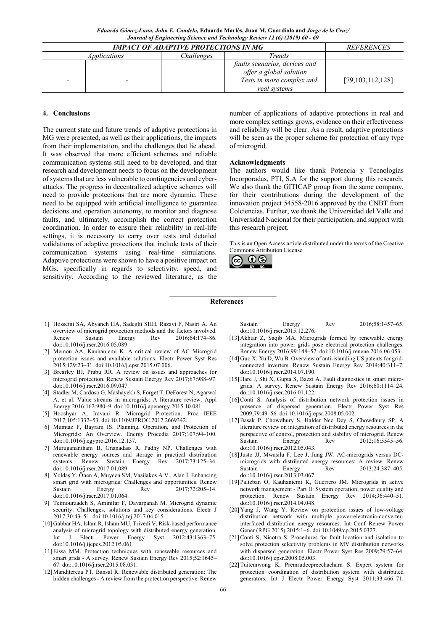|   | <b>REFERENCES</b>                 |  |                               |                     |
|---|-----------------------------------|--|-------------------------------|---------------------|
|   | Challenges<br><i>Applications</i> |  | <i>Trends</i>                 |                     |
|   |                                   |  | faults scenarios, devices and |                     |
|   |                                   |  | offer a global solution       |                     |
| - |                                   |  | Tests in more complex and     | [79, 103, 112, 128] |
|   |                                   |  | real systems                  |                     |

## **4. Conclusions**

The current state and future trends of adaptive protections in MG were presented, as well as their applications, the impacts from their implementation, and the challenges that lie ahead. It was observed that more efficient schemes and reliable communication systems still need to be developed, and that research and development needs to focus on the development of systems that are less vulnerable to contingencies and cyberattacks. The progress in decentralized adaptive schemes will need to provide protections that are more dynamic. These need to be equipped with artificial intelligence to guarantee decisions and operation autonomy, to monitor and diagnose faults, and ultimately, accomplish the correct protection coordination. In order to ensure their reliability in real-life settings, it is necessary to carry over tests and detailed validations of adaptive protections that include tests of their communication systems using real-time simulations. Adaptive protections were shown to have a positive impact on MGs, specifically in regards to selectivity, speed, and sensitivity. According to the reviewed literature, as the

number of applications of adaptive protections in real and more complex settings grows, evidence on their effectiveness and reliability will be clear. As a result, adaptive protections will be seen as the proper scheme for protection of any type of microgrid.

#### **Acknowledgments**

The authors would like thank Potencia y Tecnologías Incorporadas, PTI, S.A for the support during this research. We also thank the GITICAP group from the same company, for their contributions during the development of the innovation project 54558-2016 approved by the CNBT from Colciencias. Further, we thank the Universidad del Valle and Universidad Nacional for their participation, and support with this research project.

This is an Open Access article distributed under the terms of the Creative Commons Attribution License



#### $\mathcal{L}=\mathcal{L}=\mathcal{L}=\mathcal{L}=\mathcal{L}=\mathcal{L}=\mathcal{L}=\mathcal{L}=\mathcal{L}=\mathcal{L}=\mathcal{L}=\mathcal{L}=\mathcal{L}=\mathcal{L}=\mathcal{L}=\mathcal{L}=\mathcal{L}=\mathcal{L}=\mathcal{L}=\mathcal{L}=\mathcal{L}=\mathcal{L}=\mathcal{L}=\mathcal{L}=\mathcal{L}=\mathcal{L}=\mathcal{L}=\mathcal{L}=\mathcal{L}=\mathcal{L}=\mathcal{L}=\mathcal{L}=\mathcal{L}=\mathcal{L}=\mathcal{L}=\mathcal{L}=\mathcal{$ **References**

- [1] Hosseini SA, Abyaneh HA, Sadeghi SHH, Razavi F, Nasiri A. An overview of microgrid protection methods and the factors involved. Renew Sustain Energy Rev 2016;64:174–86. doi:10.1016/j.rser.2016.05.089.
- [2] Memon AA, Kauhaniemi K. A critical review of AC Microgrid protection issues and available solutions. Electr Power Syst Res 2015;129:23–31. doi:10.1016/j.epsr.2015.07.006.
- [3] Brearley BJ, Prabu RR. A review on issues and approaches for microgrid protection. Renew Sustain Energy Rev 2017;67:988–97. doi:10.1016/j.rser.2016.09.047.
- [4] Stadler M, Cardoso G, Mashayekh S, Forget T, DeForest N, Agarwal A, et al. Value streams in microgrids: A literature review. Appl Energy 2016;162:980–9. doi:10.1016/j.apenergy.2015.10.081.
- [5] Hooshyar A, Iravani R. Microgrid Protection. Proc IEEE 2017;105:1332–53. doi:10.1109/JPROC.2017.2669342.
- [6] Mumtaz F, Bayram IS. Planning, Operation, and Protection of Microgrids: An Overview. Energy Procedia 2017;107:94–100. doi:10.1016/j.egypro.2016.12.137.
- [7] Muruganantham B, Gnanadass R, Padhy NP. Challenges with renewable energy sources and storage in practical distribution<br>systems. Renew Sustain Energy Rev 2017;73:125-34. systems. Renew Sustain Energy doi:10.1016/j.rser.2017.01.089.
- [8] Yoldaş Y, Önen A, Muyeen SM, Vasilakos A V., Alan İ. Enhancing smart grid with microgrids: Challenges and opportunities. Renew Sustain Energy Rev  $2017;72:205-14$ . doi:10.1016/j.rser.2017.01.064.
- [9] Teimourzadeh S, Aminifar F, Davarpanah M. Microgrid dynamic security: Challenges, solutions and key considerations. Electr J 2017;30:43–51. doi:10.1016/j.tej.2017.04.015.
- [10]Gabbar HA, Islam R, Isham MU, Trivedi V. Risk-based performance analysis of microgrid topology with distributed energy generation. Int J Electr Power Energy Syst 2012;43:1363–75. doi:10.1016/j.ijepes.2012.05.061.
- [11]Eissa MM. Protection techniques with renewable resources and smart grids - A survey. Renew Sustain Energy Rev 2015;52:1645– 67. doi:10.1016/j.rser.2015.08.031.
- [12] Manditereza PT, Bansal R. Renewable distributed generation: The hidden challenges - A review from the protection perspective. Renew

Sustain Energy Rev 2016:58:1457–65. doi:10.1016/j.rser.2015.12.276.

- [13]Akhtar Z, Saqib MA. Microgrids formed by renewable energy integration into power grids pose electrical protection challenges. Renew Energy 2016;99:148–57. doi:10.1016/j.renene.2016.06.053.
- [14]Guo X, Xu D, Wu B. Overview of anti-islanding US patents for gridconnected inverters. Renew Sustain Energy Rev 2014;40:311–7. doi:10.1016/j.rser.2014.07.190.
- [15] Hare J, Shi X, Gupta S, Bazzi A. Fault diagnostics in smart microgrids: A survey. Renew Sustain Energy Rev 2016;60:1114–24. doi:10.1016/j.rser.2016.01.122.
- [16]Conti S. Analysis of distribution network protection issues in presence of dispersed generation. Electr Power Syst Res 2009;79:49–56. doi:10.1016/j.epsr.2008.05.002.
- [17]Basak P, Chowdhury S, Halder Nee Dey S, Chowdhury SP. A literature review on integration of distributed energy resources in the perspective of control, protection and stability of microgrid. Renew Sustain Energy Rev  $2012;16:5545-56$ . doi:10.1016/j.rser.2012.05.043.
- [18]Justo JJ, Mwasilu F, Lee J, Jung JW. AC-microgrids versus DCmicrogrids with distributed energy resources: A review. Renew Sustain Energy Rev  $2013:24:387-405$ . doi:10.1016/j.rser.2013.03.067.
- [19]Palizban O, Kauhaniemi K, Guerrero JM. Microgrids in active network management - Part II: System operation, power quality and protection. Renew Sustain Energy Rev 2014;36:440–51. doi:10.1016/j.rser.2014.04.048.
- [20]Yang J, Wang Y. Review on protection issues of low-voltage distribution network with multiple power-electronic-converterinterfaced distribution energy resources. Int Conf Renew Power Gener (RPG 2015) 2015:1–6. doi:10.1049/cp.2015.0327.
- [21]Conti S, Nicotra S. Procedures for fault location and isolation to solve protection selectivity problems in MV distribution networks with dispersed generation. Electr Power Syst Res 2009;79:57–64. doi:10.1016/j.epsr.2008.05.003.
- [22] Tuitemwong K, Premrudeepreechacharn S. Expert system for protection coordination of distribution system with distributed generators. Int J Electr Power Energy Syst 2011;33:466–71.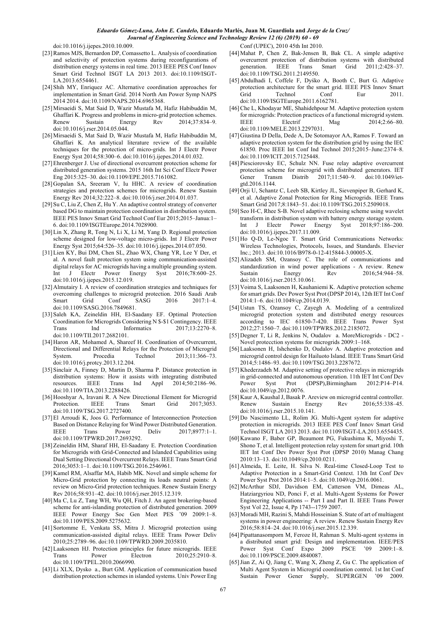doi:10.1016/j.ijepes.2010.10.009.

- [23]Ramos MJS, Bernardon DP, Comassetto L. Analysis of coordination and selectivity of protection systems during reconfigurations of distribution energy systems in real time. 2013 IEEE PES Conf Innov Smart Grid Technol ISGT LA 2013 2013. doi:10.1109/ISGT-LA.2013.6554461.
- [24] Shih MY, Enriquez AC. Alternative coordination approaches for implementation in Smart Grid. 2014 North Am Power Symp NAPS 2014 2014. doi:10.1109/NAPS.2014.6965368.
- [25]Mirsaeidi S, Mat Said D, Wazir Mustafa M, Hafiz Habibuddin M, Ghaffari K. Progress and problems in micro-grid protection schemes. Renew Sustain Energy Rev 2014;37:834-9. doi:10.1016/j.rser.2014.05.044.
- [26]Mirsaeidi S, Mat Said D, Wazir Mustafa M, Hafiz Habibuddin M, Ghaffari K. An analytical literature review of the available techniques for the protection of micro-grids. Int J Electr Power Energy Syst 2014;58:300–6. doi:10.1016/j.ijepes.2014.01.032.
- [27] Ehrenberger J. Use of directional overcurrent protection scheme for distributed generation systems. 2015 16th Int Sci Conf Electr Power Eng 2015:325–30. doi:10.1109/EPE.2015.7161082.
- [28]Gopalan SA, Sreeram V, Iu HHC. A review of coordination strategies and protection schemes for microgrids. Renew Sustain Energy Rev 2014;32:222–8. doi:10.1016/j.rser.2014.01.037.
- [29]Su C, Liu Z, Chen Z, Hu Y. An adaptive control strategy of converter based DG to maintain protection coordination in distribution system. IEEE PES Innov Smart Grid Technol Conf Eur 2015;2015–Janua:1– 6. doi:10.1109/ISGTEurope.2014.7028900.
- [30]Lin X, Zhang R, Tong N, Li X, Li M, Yang D. Regional protection scheme designed for low-voltage micro-grids. Int J Electr Power Energy Syst 2015;64:526–35. doi:10.1016/j.ijepes.2014.07.050.
- [31]Lien KY, Bui DM, Chen SL, Zhao WX, Chang YR, Lee Y Der, et al. A novel fault protection system using communication-assisted digital relays for AC microgrids having a multiple grounding system.<br>Int J Electr Power Energy Syst 2016;78:600–25. Int J Electr Power Energy Syst 2016;78:600–25. doi:10.1016/j.ijepes.2015.12.019.
- [32]Almutairy I. A review of coordination strategies and techniques for overcoming challenges to microgrid protection. 2016 Saudi Arab Smart Grid Conf SASG 2016 2017:1–4. doi:10.1109/SASG.2016.7849681.
- [33] Saleh KA, Zeineldin HH, El-Saadany EF. Optimal Protection Coordination for Microgrids Considering N \$-\$1 Contingency. IEEE Trans Ind Informatics 2017;13:2270–8. doi:10.1109/TII.2017.2682101.
- [34]Haron AR, Mohamed A, Shareef H. Coordination of Overcurrent, Directional and Differential Relays for the Protection of Microgrid System. Procedia Technol 2013;11:366-73. doi:10.1016/j.protcy.2013.12.204.
- [35]Sinclair A, Finney D, Martin D, Sharma P. Distance protection in distribution systems: How it assists with integrating distributed resources. IEEE Trans Ind Appl 2014;50:2186–96. doi:10.1109/TIA.2013.2288426.
- [36]Hooshyar A, Iravani R. A New Directional Element for Microgrid Protection. IEEE Trans Smart Grid 2017;3053. doi:10.1109/TSG.2017.2727400.
- [37]El Arroudi K, Joos G. Performance of Interconnection Protection Based on Distance Relaying for Wind Power Distributed Generation. IEEE Trans Power Deliv 2017;8977:1–1. doi:10.1109/TPWRD.2017.2693292.
- [38]Zeineldin HM, Sharaf HH, El-Saadany E. Protection Coordination for Microgrids with Grid-Connected and Islanded Capabilities using Dual Setting Directional Overcurrent Relays. IEEE Trans Smart Grid 2016;3053:1–1. doi:10.1109/TSG.2016.2546961.
- [39] Kamel RM, Alsaffar MA, Habib MK, Novel and simple scheme for Micro-Grid protection by connecting its loads neutral points: A review on Micro-Grid protection techniques. Renew Sustain Energy Rev 2016;58:931–42. doi:10.1016/j.rser.2015.12.319.
- [40]Ma C, Lu Z, Tang WH, Wu QH, Fitch J. An agent brokering-based scheme for anti-islanding protection of distributed generation. 2009 IEEE Power Energy Soc Gen Meet PES '09 2009:1–8. doi:10.1109/PES.2009.5275632.
- [41]Sortomme E, Venkata SS, Mitra J. Microgrid protection using communication-assisted digital relays. IEEE Trans Power Deliv 2010;25:2789–96. doi:10.1109/TPWRD.2009.2035810.
- [42]Laaksonen HJ. Protection principles for future microgrids. IEEE Trans Power Electron 2010;25:2910–8. doi:10.1109/TPEL.2010.2066990.
- [43]Li XLX, Dysko a., Burt GM. Application of communication based distribution protection schemes in islanded systems. Univ Power Eng

Conf (UPEC), 2010 45th Int 2010.

- [44]Mahat P, Chen Z, Bak-Jensen B, Bak CL. A simple adaptive overcurrent protection of distribution systems with distributed generation. IEEE Trans Smart Grid 2011;2:428–37. doi:10.1109/TSG.2011.2149550.
- [45]Abdulhadi I, Coffele F, Dyśko A, Booth C, Burt G. Adaptive protection architecture for the smart grid. IEEE PES Innov Smart Grid Technol Conf Eur 2011. doi:10.1109/ISGTEurope.2011.6162781.
- [46]Che L, Khodayar ME, Shahidehpour M. Adaptive protection system for microgrids: Protection practices of a functional microgrid system. IEEE Electrif Mag 2014;2:66–80. doi:10.1109/MELE.2013.2297031.
- [47]Giustina D Della, Dede A, De Sotomayor AA, Ramos F. Toward an adaptive protection system for the distribution grid by using the IEC 61850. Proc IEEE Int Conf Ind Technol 2015;2015–June:2374–8. doi:10.1109/ICIT.2015.7125448.
- [48]Piesciorovsky EC, Schulz NN. Fuse relay adaptive overcurrent protection scheme for microgrid with distributed generators. IET Gener Transm Distrib 2017;11:540–9. doi:10.1049/ietgtd.2016.1144.
- [49]Orji U, Schantz C, Leeb SB, Kirtley JL, Sievenpiper B, Gerhard K, et al. Adaptive Zonal Protection for Ring Microgrids. IEEE Trans Smart Grid 2017;8:1843–51. doi:10.1109/TSG.2015.2509018.
- [50] Seo H-C, Rhee S-B. Novel adaptive reclosing scheme using wavelet transform in distribution system with battery energy storage system. Int J Electr Power Energy Syst 2018;97:186–200. doi:10.1016/j.ijepes.2017.11.009.
- [51]Ho Q-D, Le-Ngoc T. Smart Grid Communications Networks: Wireless Technologies, Protocols, Issues, and Standards. Elsevier Inc.; 2013. doi:10.1016/B978-0-12-415844-3.00005-X.
- [52]Alizadeh SM, Ozansoy C. The role of communications and standardization in wind power applications - A review. Renew Sustain Energy Rev 2016:54:944–58. doi:10.1016/j.rser.2015.10.061.
- [53]Voima S, Laaksonen H, Kauhaniemi K. Adaptive protection scheme for smart grids. Dev Power Syst Prot (DPSP 2014), 12th IET Int Conf 2014:1–6. doi:10.1049/cp.2014.0139.
- [54]Ustun TS, Ozansoy C, Zayegh A. Modeling of a centralized microgrid protection system and distributed energy resources according to IEC 61850-7-420. IEEE Trans Power Syst 2012;27:1560–7. doi:10.1109/TPWRS.2012.2185072.
- [55]Degner T, Li R, Jenkins N, Oudalov a. MoreMicrogrids DC2 Novel protecction systems for microgrids 2009:1–168.
- [56]Laaksonen H, Ishchenko D, Oudalov A. Adaptive protection and microgrid control design for Hailuoto Island. IEEE Trans Smart Grid 2014;5:1486–93. doi:10.1109/TSG.2013.2287672.
- [57]Khederzadeh M. Adaptive setting of protective relays in microgrids in grid-connected and autonomous operation. 11th IET Int Conf Dev Power Syst Prot (DPSP),Birmingham 2012:P14–P14. doi:10.1049/cp.2012.0076.
- [58]Kaur A, Kaushal J, Basak P. Areview on microgrid central controller. Renew Sustain Energy Rev 2016;55:338–45. doi:10.1016/j.rser.2015.10.141.
- [59]Do Nascimento LL, Rolim JG. Multi-Agent system for adaptive protection in microgrids. 2013 IEEE PES Conf Innov Smart Grid Technol ISGT LA 2013 2013. doi:10.1109/ISGT-LA.2013.6554435.
- [60]Kawano F, Baber GP, Beaumont PG, Fukushima K, Miyoshi T, Shono T, et al. Intelligent protection relay system for smart grid. 10th IET Int Conf Dev Power Syst Prot (DPSP 2010) Manag Chang 2010:13–13. doi:10.1049/cp.2010.0211.
- [61]Almeida, E. Leite, H. Silva N. Real-time Closed-Loop Test to Adaptive Protection in a Smart-Grid Context. 13th Int Conf Dev Power Syst Prot 2016 2014:1–5. doi:10.1049/cp.2016.0061.
- [62]McArthur SDJ, Davidson EM, Catterson VM, Dimeas AL, Hatziargyriou ND, Ponci F, et al. Multi-Agent Systems for Power Engineering Applications -- Part I and Part II. IEEE Trans Power Syst Vol 22, Issue 4, Pp 1743--1759 2007.
- [63]Moradi MH, Razini S, Mahdi Hosseinian S. State of art of multiagent systems in power engineering: A review. Renew Sustain Energy Rev 2016;58:814–24. doi:10.1016/j.rser.2015.12.339.
- [64]Pipattanasomporn M, Feroze H, Rahman S. Multi-agent systems in a distributed smart grid: Design and implementation. IEEE/PES Power Syst Conf Expo 2009 PSCE '09 2009:1-8. doi:10.1109/PSCE.2009.4840087.
- [65] Jian Z, Ai Q, Jiang C, Wang X, Zheng Z, Gu C. The application of Multi Agent System in Microgrid coordination control. 1st Int Conf Sustain Power Gener Supply, SUPERGEN '09 2009.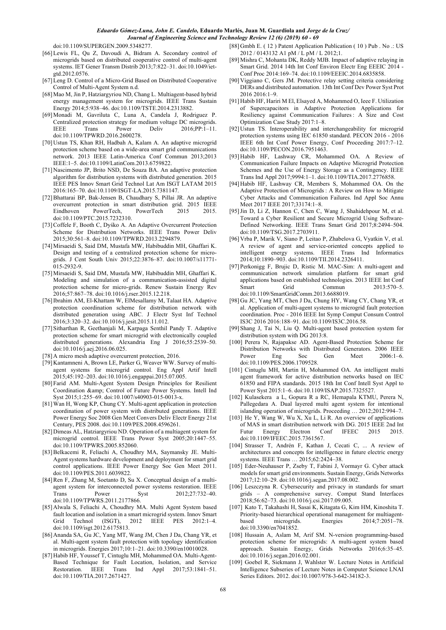doi:10.1109/SUPERGEN.2009.5348277.

- [66]Lewis FL, Qu Z, Davoudi A, Bidram A. Secondary control of microgrids based on distributed cooperative control of multi-agent systems. IET Gener Transm Distrib 2013;7:822–31. doi:10.1049/ietgtd.2012.0576.
- [67]Leng D. Control of a Micro-Grid Based on Distributed Cooperative Control of Multi-Agent System n.d.
- [68]Mao M, Jin P, Hatziargyriou ND, Chang L. Multiagent-based hybrid energy management system for microgrids. IEEE Trans Sustain Energy 2014;5:938–46. doi:10.1109/TSTE.2014.2313882.
- [69]Monadi M, Gavriluta C, Luna A, Candela J, Rodriguez P. Centralized protection strategy for medium voltage DC microgrids. IEEE Trans Power Deliv 2016;PP:1–11. doi:10.1109/TPWRD.2016.2600278.
- [70]Ustun TS, Khan RH, Hadbah A, Kalam A. An adaptive microgrid protection scheme based on a wide-area smart grid communications network. 2013 IEEE Latin-America Conf Commun 2013;2013 IEEE:1–5. doi:10.1109/LatinCom.2013.6759822.
- [71]Nascimento JP, Brito NSD, De Souza BA. An adaptive protection algorithm for distribution systems with distributed generation. 2015 IEEE PES Innov Smart Grid Technol Lat Am ISGT LATAM 2015 2016:165–70. doi:10.1109/ISGT-LA.2015.7381147.
- [72]Bhattarai BP, Bak-Jensen B, Chaudhary S, Pillai JR. An adaptive overcurrent protection in smart distribution grid. 2015 IEEE Eindhoven PowerTech, PowerTech 2015 2015. doi:10.1109/PTC.2015.7232310.
- [73]Coffele F, Booth C, Dyśko A. An Adaptive Overcurrent Protection Scheme for Distribution Networks. IEEE Trans Power Deliv 2015;30:561–8. doi:10.1109/TPWRD.2013.2294879.
- [74]Mirsaeidi S, Said DM, Mustafa MW, Habibuddin MH, Ghaffari K. Design and testing of a centralized protection scheme for microgrids. J Cent South Univ 2015;22:3876–87. doi:10.1007/s11771- 015-2932-9.
- [75]Mirsaeidi S, Said DM, Mustafa MW, Habibuddin MH, Ghaffari K. Modeling and simulation of a communication-assisted digital protection scheme for micro-grids. Renew Sustain Energy Rev 2016;57:867–78. doi:10.1016/j.rser.2015.12.218.
- [76]Ibrahim AM, El-Khattam W, ElMesallamy M, Talaat HA. Adaptive protection coordination scheme for distribution network with distributed generation using ABC. J Electr Syst Inf Technol 2016;3:320–32. doi:10.1016/j.jesit.2015.11.012.
- [77]Sitharthan R, Geethanjali M, Karpaga Senthil Pandy T. Adaptive protection scheme for smart microgrid with electronically coupled distributed generations. Alexandria Eng J 2016;55:2539–50. doi:10.1016/j.aej.2016.06.025.
- [78]A micro mesh adaptive overcurrent protection, 2016.
- [79]Kantamneni A, Brown LE, Parker G, Weaver WW. Survey of multiagent systems for microgrid control. Eng Appl Artif Intell 2015;45:192–203. doi:10.1016/j.engappai.2015.07.005.
- [80]Farid AM. Multi-Agent System Design Principles for Resilient Coordination & Control of Future Power Systems. Intell Ind Syst 2015;1:255–69. doi:10.1007/s40903-015-0013-x.
- [81]Wan H, Wong KP, Chung CY. Multi-agent application in protection coordination of power system with distributed generations. IEEE Power Energy Soc 2008 Gen Meet Convers Deliv Electr Energy 21st Century, PES 2008. doi:10.1109/PES.2008.4596261.
- [82]Dimeas AL, Hatziargyriou ND. Operation of a multiagent system for microgrid control. IEEE Trans Power Syst 2005;20:1447–55. doi:10.1109/TPWRS.2005.852060.
- [83]Belkacemi R, Feliachi A, Choudhry MA, Saymansky JE. Multi-Agent systems hardware development and deployment for smart grid control applications. IEEE Power Energy Soc Gen Meet 2011. doi:10.1109/PES.2011.6039822.
- [84]Ren F, Zhang M, Soetanto D, Su X. Conceptual design of a multiagent system for interconnected power systems restoration. IEEE Trans Power Syst 2012;27:732-40. doi:10.1109/TPWRS.2011.2177866.
- [85]Alwala S, Feliachi A, Choudhry MA. Multi Agent System based fault location and isolation in a smart microgrid system. Innov Smart Grid Technol (ISGT), 2012 IEEE PES 2012:1–4. doi:10.1109/isgt.2012.6175813.
- [86]Ananda SA, Gu JC, Yang MT, Wang JM, Chen J Da, Chang YR, et al. Multi-agent system fault protection with topology identification in microgrids. Energies 2017;10:1–21. doi:10.3390/en10010028.
- [87]Habib HF, Youssef T, Cintuglu MH, Mohammed OA. Multi-Agent-Based Technique for Fault Location, Isolation, and Service Restoration. IEEE Trans Ind Appl 2017;53:1841–51. doi:10.1109/TIA.2017.2671427.
- [88] Gmbh E. (12) Patent Application Publication (10) Pub. No .: US 2012 / 0143132 A1 pM / L pM / L 2012;1.
- [89]Mishra C, Mohanta DK, Reddy MJB. Impact of adaptive relaying in Smart Grid. 2014 14th Int Conf Environ Electr Eng EEEIC 2014 - Conf Proc 2014:169–74. doi:10.1109/EEEIC.2014.6835858.
- [90]Viggiano C, Gers JM. Protective relay setting criteria considering DERs and distributed automation. 13th Int Conf Dev Power Syst Prot 2016 2016:1–9.
- [91]Habib HF, Hariri M El, Elsayed A, Mohammed O, Ieee F. Utilization of Supercapacitors in Adaptive Protection Applications for Resiliency against Communication Failures : A Size and Cost Optimization Case Study 2017:1–8.
- [92] Ustun TS. Interoperability and interchangeability for microgrid protection systems using IEC 61850 standard. PECON 2016 - 2016 IEEE 6th Int Conf Power Energy, Conf Proceeding 2017:7–12. doi:10.1109/PECON.2016.7951463.
- [93]Habib HF, Lashway CR, Mohammed OA. A Review of Communication Failure Impacts on Adaptive Microgrid Protection Schemes and the Use of Energy Storage as a Contingency. IEEE Trans Ind Appl 2017;9994:1–1. doi:10.1109/TIA.2017.2776858.
- [94]Habib HF, Lashway CR, Members S, Mohammed OA. On the Adaptive Protection of Microgrids : A Review on How to Mitigate Cyber Attacks and Communication Failures. Ind Appl Soc Annu Meet 2017 IEEE 2017;33174:1–8.
- [95]Jin D, Li Z, Hannon C, Chen C, Wang J, Shahidehpour M, et al. Toward a Cyber Resilient and Secure Microgrid Using Software-Defined Networking. IEEE Trans Smart Grid 2017;8:2494–504. doi:10.1109/TSG.2017.2703911.
- [96]Vrba P, Marik V, Siano P, Leitao P, Zhabelova G, Vyatkin V, et al. A review of agent and service-oriented concepts applied to intelligent energy systems. IEEE Trans Ind Informatics 2014;10:1890–903. doi:10.1109/TII.2014.2326411.
- [97]Perkonigg F, Brujic D, Ristic M. MAC-Sim: A multi-agent and communication network simulation platform for smart grid applications based on established technologies. 2013 IEEE Int Conf Smart Grid Commun 2013:570–5. doi:10.1109/SmartGridComm.2013.6688019.
- [98]Gu JC, Yang MT, Chen J Da, Chung HY, Wang CY, Chang YR, et al. Application of multi-agent systems to microgrid fault protection coordination. Proc - 2016 IEEE Int Symp Comput Consum Control IS3C 2016 2016:188–91. doi:10.1109/IS3C.2016.58.
- [99]Shang J, Tai N, Liu Q. Multi-agent based protection system for distribution system with DG 2013:8.
- [100] Perera N, Rajapakse AD. Agent-Based Protection Scheme for Distribution Networks with Distributed Generators. 2006 IEEE Power Eng Soc Gen Meet 2006:1-6. doi:10.1109/PES.2006.1709528.
- [101] Cintuglu MH, Martin H, Mohammed OA. An intelligent multi agent framework for active distribution networks based on IEC 61850 and FIPA standards. 2015 18th Int Conf Intell Syst Appl to Power Syst 2015:1–6. doi:10.1109/ISAP.2015.7325527.
- [102] Kulasekera a L, Gopura R a RC, Hemapala KTMU, Perera N, Pallegedara A. Dual layered multi agent system for intentional islanding operation of microgrids. Proceeding … 2012;2012:994–7.
- [103] He Y, Wang W, Wu X, Xu L, Li R. An overview of applications of MAS in smart distribution network with DG. 2015 IEEE 2nd Int Futur Energy Electron Conf IFEEC 2015 2015. doi:10.1109/IFEEC.2015.7361567.
- [104] Strasser T, Andrén F, Kathan J, Cecati C, ... A review of architectures and concepts for intelligence in future electric energy systems. IEEE Trans … 2015;62:2424–38.
- [105] Eder-Neuhauser P, Zseby T, Fabini J, Vormayr G. Cyber attack models for smart grid environments. Sustain Energy, Grids Networks 2017;12:10–29. doi:10.1016/j.segan.2017.08.002.
- [106] Leszczyna R. Cybersecurity and privacy in standards for smart grids – A comprehensive survey. Comput Stand Interfaces 2018;56:62–73. doi:10.1016/j.csi.2017.09.005.
- [107] Kato T, Takahashi H, Sasai K, Kitagata G, Kim HM, Kinoshita T. Priority-based hierarchical operational management for multiagentbased microgrids. Energies 2014:7:2051–78. doi:10.3390/en7041852.
- [108] Hussain A, Aslam M, Arif SM. N-version programming-based protection scheme for microgrids: A multi-agent system based approach. Sustain Energy, Grids Networks 2016;6:35–45. doi:10.1016/j.segan.2016.02.001.
- [109] Goebel R, Siekmann J, Wahlster W. Lecture Notes in Artificial Intelligence Subseries of Lecture Notes in Computer Science LNAI Series Editors. 2012. doi:10.1007/978-3-642-34182-3.